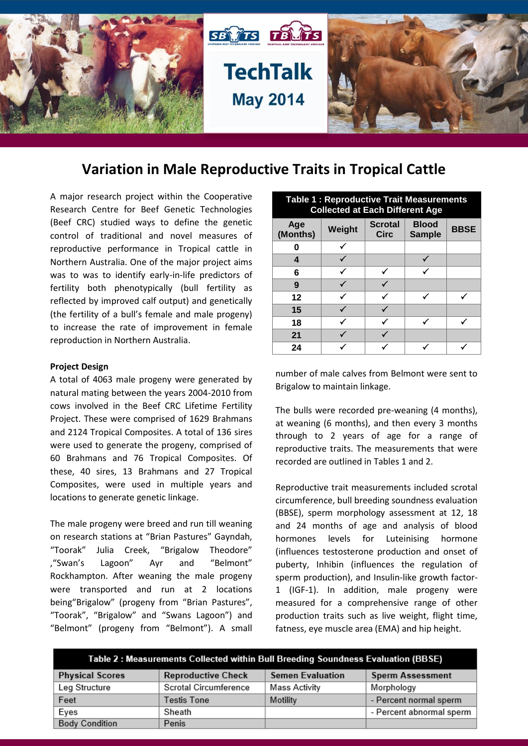

# **Variation in Male Reproductive Traits in Tropical Cattle**

A major research project within the Cooperative Research Centre for Beef Genetic Technologies (Beef CRC) studied ways to define the genetic control of traditional and novel measures of reproductive performance in Tropical cattle in Northern Australia. One of the major project aims was to was to identify early-in-life predictors of fertility both phenotypically (bull fertility as reflected by improved calf output) and genetically (the fertility of a bull's female and male progeny) to increase the rate of improvement in female reproduction in Northern Australia.

#### **Project Design**

A total of 4063 male progeny were generated by natural mating between the years 2004-2010 from cows involved in the Beef CRC Lifetime Fertility Project. These were comprised of 1629 Brahmans and 2124 Tropical Composites. A total of 136 sires were used to generate the progeny, comprised of 60 Brahmans and 76 Tropical Composites. Of these, 40 sires, 13 Brahmans and 27 Tropical Composites, were used in multiple years and locations to generate genetic linkage.

The male progeny were breed and run till weaning on research stations at "Brian Pastures" Gayndah, "Toorak" Julia Creek, "Brigalow Theodore" ,"Swan's Lagoon" Ayr and "Belmont" Rockhampton. After weaning the male progeny were transported and run at 2 locations being"Brigalow" (progeny from "Brian Pastures", "Toorak", "Brigalow" and "Swans Lagoon") and "Belmont" (progeny from "Belmont"). A small

| <b>Table 1: Reproductive Trait Measurements</b><br><b>Collected at Each Different Age</b> |        |                               |                               |             |
|-------------------------------------------------------------------------------------------|--------|-------------------------------|-------------------------------|-------------|
| Age<br>(Months)                                                                           | Weight | <b>Scrotal</b><br><b>Circ</b> | <b>Blood</b><br><b>Sample</b> | <b>BBSE</b> |
| 0                                                                                         |        |                               |                               |             |
| 4                                                                                         |        |                               |                               |             |
| 6                                                                                         |        |                               |                               |             |
| 9                                                                                         |        |                               |                               |             |
| 12                                                                                        |        |                               |                               |             |
| 15                                                                                        |        |                               |                               |             |
| 18                                                                                        |        |                               |                               |             |
| 21                                                                                        |        |                               |                               |             |
| 24                                                                                        |        |                               |                               |             |

number of male calves from Belmont were sent to Brigalow to maintain linkage.

The bulls were recorded pre-weaning (4 months), at weaning (6 months), and then every 3 months through to 2 years of age for a range of reproductive traits. The measurements that were recorded are outlined in Tables 1 and 2.

Reproductive trait measurements included scrotal circumference, bull breeding soundness evaluation (BBSE), sperm morphology assessment at 12, 18 and 24 months of age and analysis of blood hormones levels for Luteinising hormone (influences testosterone production and onset of puberty, Inhibin (influences the regulation of sperm production), and Insulin-like growth factor-1 (IGF-1). In addition, male progeny were measured for a comprehensive range of other production traits such as live weight, flight time, fatness, eye muscle area (EMA) and hip height.

| Table 2: Measurements Collected within Bull Breeding Soundness Evaluation (BBSE) |                           |                         |                          |  |  |
|----------------------------------------------------------------------------------|---------------------------|-------------------------|--------------------------|--|--|
| <b>Physical Scores</b>                                                           | <b>Reproductive Check</b> | <b>Semen Evaluation</b> | <b>Sperm Assessment</b>  |  |  |
| Leg Structure                                                                    | Scrotal Circumference     | Mass Activity           | Morphology               |  |  |
| Feet                                                                             | <b>Testis Tone</b>        | Motility                | - Percent normal sperm   |  |  |
| Eyes                                                                             | Sheath                    |                         | - Percent abnormal sperm |  |  |
| <b>Body Condition</b>                                                            | Penis                     |                         |                          |  |  |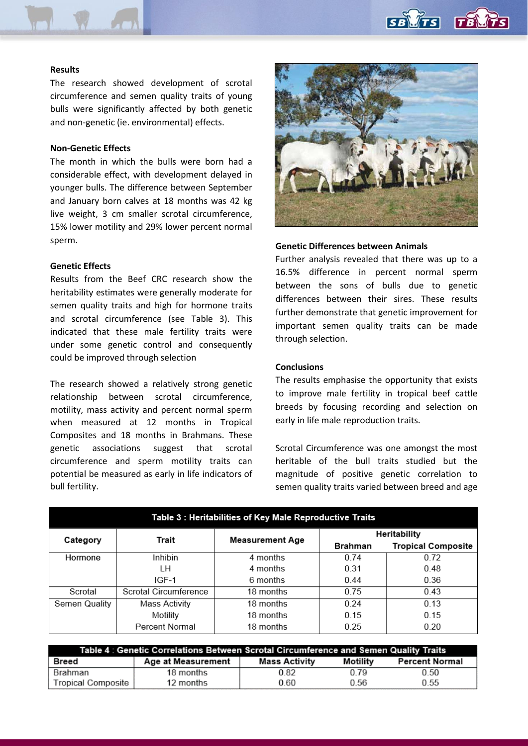

# **Results**

The research showed development of scrotal circumference and semen quality traits of young bulls were significantly affected by both genetic and non-genetic (ie. environmental) effects.

# **Non-Genetic Effects**

The month in which the bulls were born had a considerable effect, with development delayed in younger bulls. The difference between September and January born calves at 18 months was 42 kg live weight, 3 cm smaller scrotal circumference, 15% lower motility and 29% lower percent normal sperm.

## **Genetic Effects**

Results from the Beef CRC research show the heritability estimates were generally moderate for semen quality traits and high for hormone traits and scrotal circumference (see Table 3). This indicated that these male fertility traits were under some genetic control and consequently could be improved through selection

The research showed a relatively strong genetic relationship between scrotal circumference, motility, mass activity and percent normal sperm when measured at 12 months in Tropical Composites and 18 months in Brahmans. These genetic associations suggest that scrotal circumference and sperm motility traits can potential be measured as early in life indicators of bull fertility.



### **Genetic Differences between Animals**

Further analysis revealed that there was up to a 16.5% difference in percent normal sperm between the sons of bulls due to genetic differences between their sires. These results further demonstrate that genetic improvement for important semen quality traits can be made through selection.

## **Conclusions**

The results emphasise the opportunity that exists to improve male fertility in tropical beef cattle breeds by focusing recording and selection on early in life male reproduction traits.

Scrotal Circumference was one amongst the most heritable of the bull traits studied but the magnitude of positive genetic correlation to semen quality traits varied between breed and age

| Table 3 : Heritabilities of Key Male Reproductive Traits |                       |                        |                |                           |  |
|----------------------------------------------------------|-----------------------|------------------------|----------------|---------------------------|--|
|                                                          | Trait                 | <b>Measurement Age</b> | Heritability   |                           |  |
| Category                                                 |                       |                        | <b>Brahman</b> | <b>Tropical Composite</b> |  |
| Hormone                                                  | Inhibin               | 4 months               | 0.74           | 0.72                      |  |
|                                                          | LН                    | 4 months               | 0.31           | 0.48                      |  |
|                                                          | IGF-1                 | 6 months               | 0.44           | 0.36                      |  |
| Scrotal                                                  | Scrotal Circumference | 18 months              | 0.75           | 0.43                      |  |
| <b>Semen Quality</b>                                     | Mass Activity         | 18 months              | 0.24           | 0.13                      |  |
|                                                          | Motility              | 18 months              | 0.15           | 0.15                      |  |
|                                                          | Percent Normal        | 18 months              | 0.25           | 0.20                      |  |

| Table 4 : Genetic Correlations Between Scrotal Circumference and Semen Quality Traits |                    |               |          |                       |
|---------------------------------------------------------------------------------------|--------------------|---------------|----------|-----------------------|
| Breed                                                                                 | Age at Measurement | Mass Activity | Motility | <b>Percent Normal</b> |
| Brahman                                                                               | 18 months          | 0.82          | 0.79     | 0.50                  |
| Tropical Composite                                                                    | 12 months          | 0.60          | 0.56     | 0.55                  |